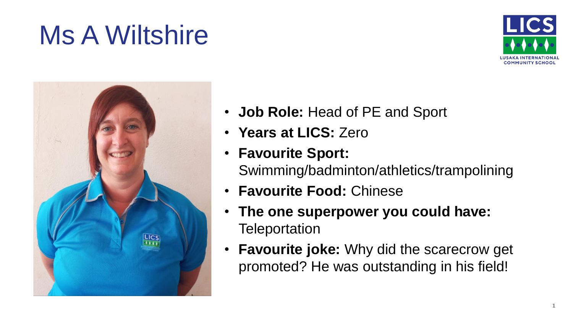## Ms A Wiltshire





- **Job Role:** Head of PE and Sport
- **Years at LICS:** Zero
- **Favourite Sport:**  Swimming/badminton/athletics/trampolining
- **Favourite Food:** Chinese
- **The one superpower you could have: Teleportation**
- **Favourite joke:** Why did the scarecrow get promoted? He was outstanding in his field!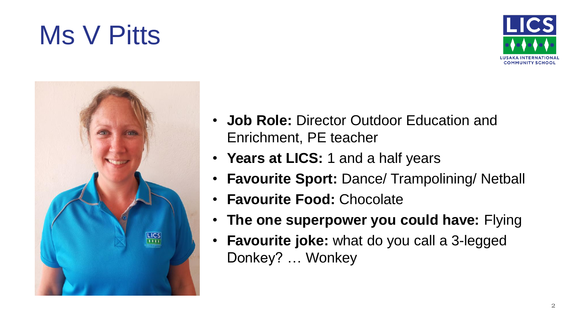#### 2

## Ms V Pitts



- **Years at LICS:** 1 and a half years
- **Favourite Sport:** Dance/ Trampolining/ Netball
- **Favourite Food:** Chocolate
- **The one superpower you could have:** Flying
- **Favourite joke:** what do you call a 3-legged Donkey? … Wonkey



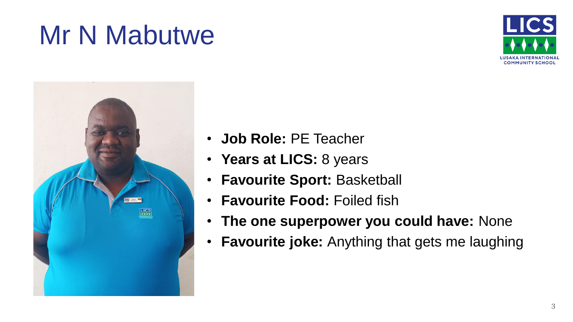## Mr N Mabutwe





- **Job Role:** PE Teacher
- **Years at LICS:** 8 years
- **Favourite Sport:** Basketball
- **Favourite Food:** Foiled fish
- **The one superpower you could have:** None
- **Favourite joke:** Anything that gets me laughing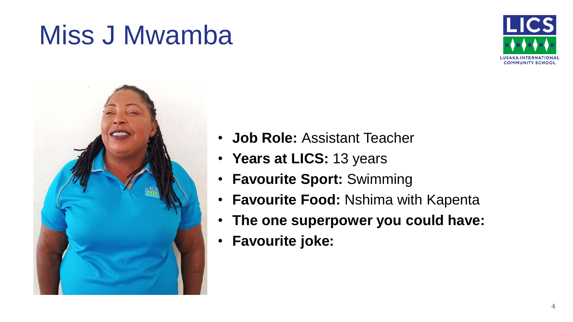#### Miss J Mwamba





- **Job Role:** Assistant Teacher
- **Years at LICS:** 13 years
- **Favourite Sport:** Swimming
- **Favourite Food:** Nshima with Kapenta
- **The one superpower you could have:**
- **Favourite joke:**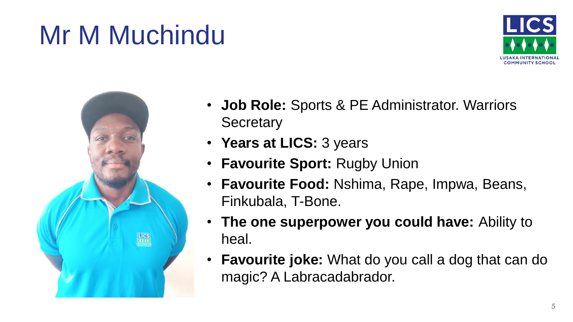# Mr M Muchindu





- **Job Role:** Sports & PE Administrator. Warriors **Secretary**
- **Years at LICS:** 3 years
- **Favourite Sport:** Rugby Union
- **Favourite Food:** Nshima, Rape, Impwa, Beans, Finkubala, T-Bone.
- **The one superpower you could have:** Ability to heal.
- **Favourite joke:** What do you call a dog that can do magic? A Labracadabrador.